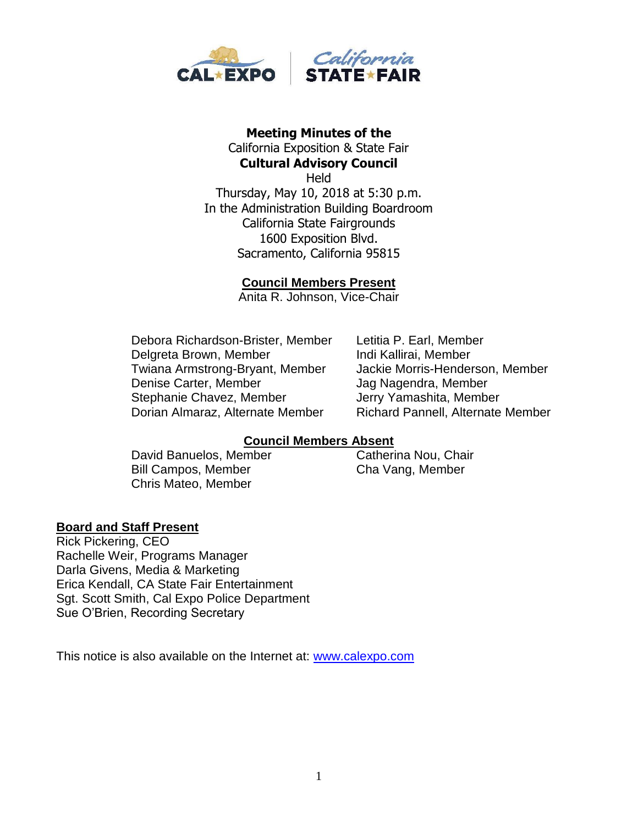

#### **Meeting Minutes of the**  California Exposition & State Fair **Cultural Advisory Council**

**Held** Thursday, May 10, 2018 at 5:30 p.m. In the Administration Building Boardroom California State Fairgrounds 1600 Exposition Blvd. Sacramento, California 95815

### **Council Members Present**

Anita R. Johnson, Vice-Chair

Debora Richardson-Brister, Member Letitia P. Earl, Member Delgreta Brown, Member Indi Kallirai, Member Twiana Armstrong-Bryant, Member Jackie Morris-Henderson, Member Denise Carter, Member Jag Nagendra, Member Stephanie Chavez, Member **Jerry Yamashita, Member** Dorian Almaraz, Alternate Member Richard Pannell, Alternate Member

## **Council Members Absent**

David Banuelos, Member Catherina Nou, Chair Bill Campos, Member Cha Vang, Member Chris Mateo, Member

## **Board and Staff Present**

Rick Pickering, CEO Rachelle Weir, Programs Manager Darla Givens, Media & Marketing Erica Kendall, CA State Fair Entertainment Sgt. Scott Smith, Cal Expo Police Department Sue O'Brien, Recording Secretary

This notice is also available on the Internet at: [www.calexpo.com](http://www.calexpo.com/)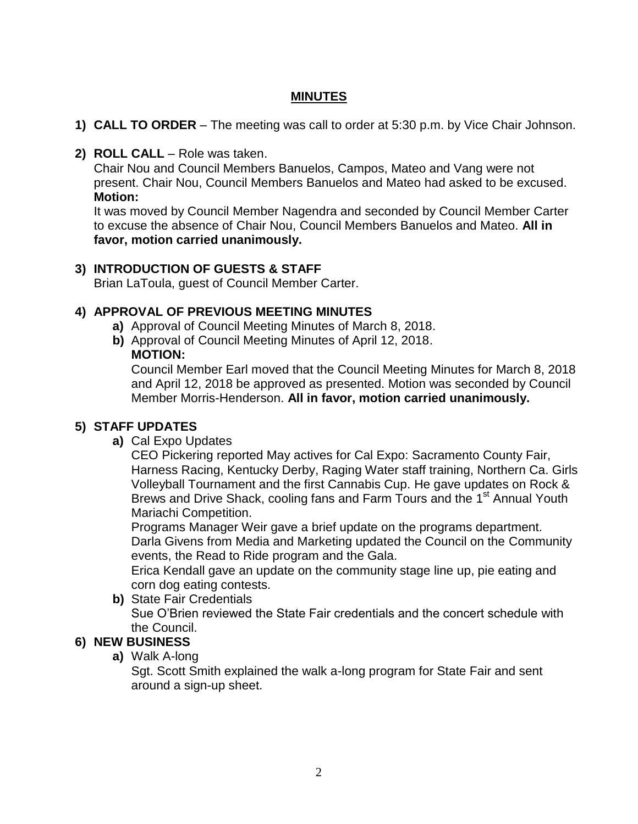# **MINUTES**

- **1) CALL TO ORDER** The meeting was call to order at 5:30 p.m. by Vice Chair Johnson.
- **2) ROLL CALL**  Role was taken.

Chair Nou and Council Members Banuelos, Campos, Mateo and Vang were not present. Chair Nou, Council Members Banuelos and Mateo had asked to be excused. **Motion:**

It was moved by Council Member Nagendra and seconded by Council Member Carter to excuse the absence of Chair Nou, Council Members Banuelos and Mateo. **All in favor, motion carried unanimously.**

## **3) INTRODUCTION OF GUESTS & STAFF**

Brian LaToula, guest of Council Member Carter.

## **4) APPROVAL OF PREVIOUS MEETING MINUTES**

- **a)** Approval of Council Meeting Minutes of March 8, 2018.
- **b)** Approval of Council Meeting Minutes of April 12, 2018.

### **MOTION:**

Council Member Earl moved that the Council Meeting Minutes for March 8, 2018 and April 12, 2018 be approved as presented. Motion was seconded by Council Member Morris-Henderson. **All in favor, motion carried unanimously.**

## **5) STAFF UPDATES**

**a)** Cal Expo Updates

CEO Pickering reported May actives for Cal Expo: Sacramento County Fair, Harness Racing, Kentucky Derby, Raging Water staff training, Northern Ca. Girls Volleyball Tournament and the first Cannabis Cup. He gave updates on Rock & Brews and Drive Shack, cooling fans and Farm Tours and the 1<sup>st</sup> Annual Youth Mariachi Competition.

Programs Manager Weir gave a brief update on the programs department. Darla Givens from Media and Marketing updated the Council on the Community events, the Read to Ride program and the Gala.

Erica Kendall gave an update on the community stage line up, pie eating and corn dog eating contests.

**b)** State Fair Credentials Sue O'Brien reviewed the State Fair credentials and the concert schedule with the Council.

## **6) NEW BUSINESS**

**a)** Walk A-long

Sgt. Scott Smith explained the walk a-long program for State Fair and sent around a sign-up sheet.